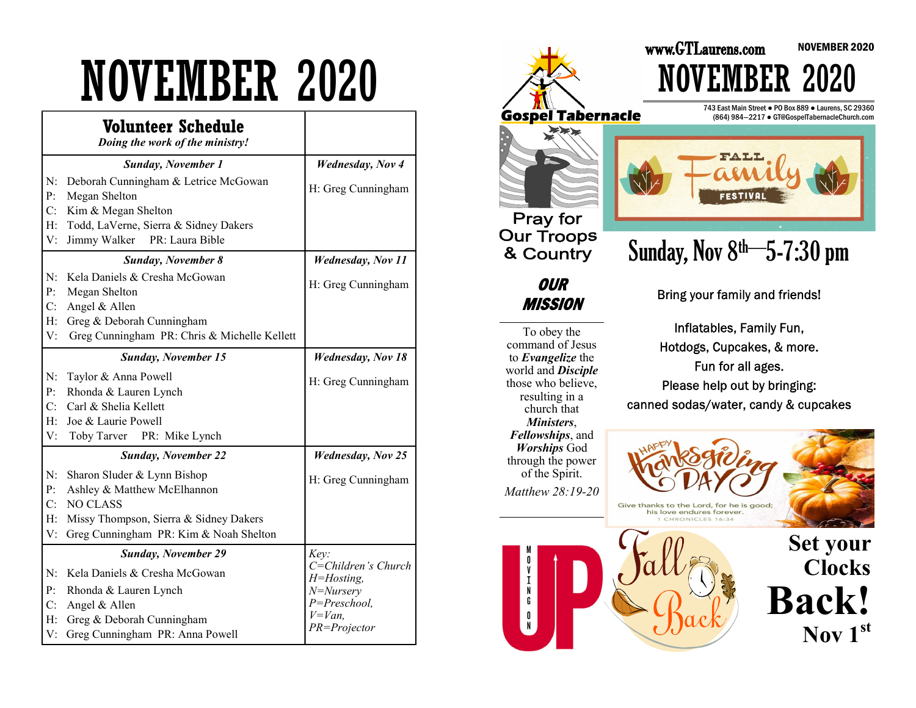# NOVEMBER 2020

|                                      | <b>Volunteer Schedule</b><br>Doing the work of the ministry!                                                                            |                                                                                                      |
|--------------------------------------|-----------------------------------------------------------------------------------------------------------------------------------------|------------------------------------------------------------------------------------------------------|
|                                      | <b>Sunday, November 1</b>                                                                                                               | <b>Wednesday</b> , Nov 4                                                                             |
| N:<br>P:<br>C:                       | Deborah Cunningham & Letrice McGowan<br>Megan Shelton<br>Kim & Megan Shelton                                                            | H: Greg Cunningham                                                                                   |
| H:<br>V:                             | Todd, LaVerne, Sierra & Sidney Dakers<br>Jimmy Walker<br>PR: Laura Bible                                                                |                                                                                                      |
|                                      | <b>Sunday, November 8</b>                                                                                                               | <b>Wednesday</b> , Nov 11                                                                            |
| N:<br>P:                             | Kela Daniels & Cresha McGowan<br>Megan Shelton                                                                                          | H: Greg Cunningham                                                                                   |
| C:<br>H:<br>V:                       | Angel & Allen<br>Greg & Deborah Cunningham<br>Greg Cunningham PR: Chris & Michelle Kellett                                              |                                                                                                      |
|                                      | <b>Sunday, November 15</b>                                                                                                              | <b>Wednesday, Nov 18</b>                                                                             |
| N:<br>P:<br>C:<br>H:<br>V:           | Taylor & Anna Powell<br>Rhonda & Lauren Lynch<br>Carl & Shelia Kellett<br>Joe & Laurie Powell<br>Toby Tarver PR: Mike Lynch             | H: Greg Cunningham                                                                                   |
|                                      | <b>Sunday, November 22</b>                                                                                                              | <b>Wednesday</b> , Nov 25                                                                            |
| N:<br>P:<br>C:                       | Sharon Sluder & Lynn Bishop<br>Ashley & Matthew McElhannon<br><b>NO CLASS</b>                                                           | H: Greg Cunningham                                                                                   |
| H:<br>V:                             | Missy Thompson, Sierra & Sidney Dakers<br>Greg Cunningham PR: Kim & Noah Shelton                                                        |                                                                                                      |
|                                      | <b>Sunday, November 29</b>                                                                                                              | Key:                                                                                                 |
| N:<br>$\mathbf{P}$<br>C:<br>H:<br>V: | Kela Daniels & Cresha McGowan<br>Rhonda & Lauren Lynch<br>Angel & Allen<br>Greg & Deborah Cunningham<br>Greg Cunningham PR: Anna Powell | C=Children's Church<br>$H = H$ osting,<br>$N = Nursery$<br>P=Preschool,<br>$V=Van$ ,<br>PR=Projector |